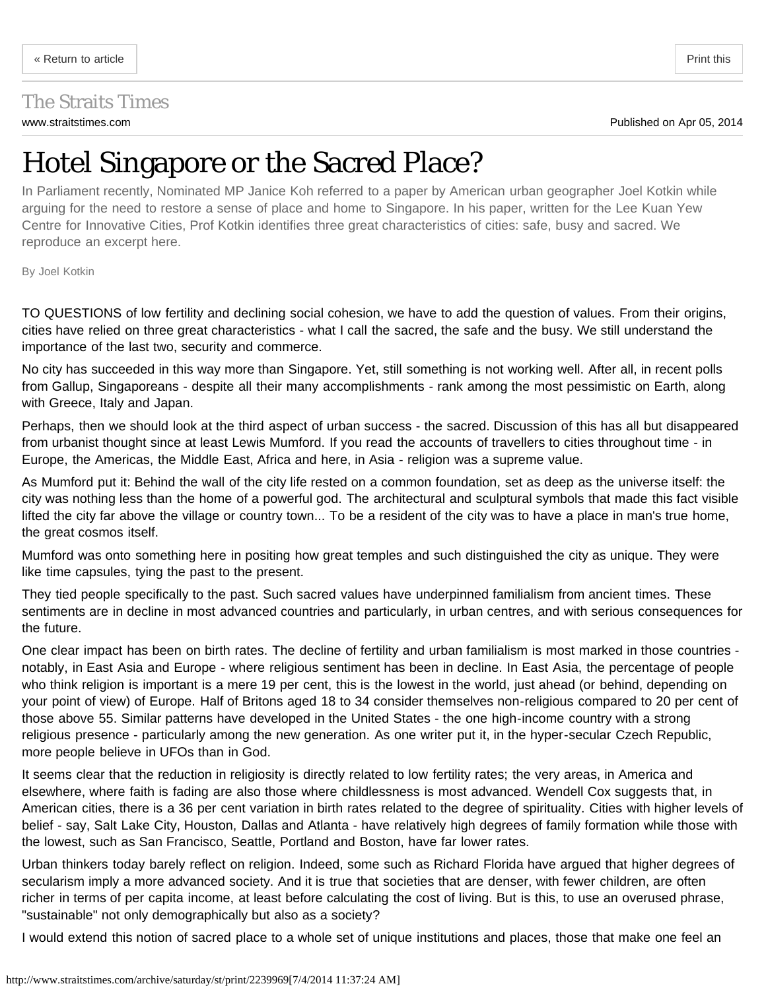## <span id="page-0-0"></span>The Straits Times

## Hotel Singapore or the Sacred Place?

In Parliament recently, Nominated MP Janice Koh referred to a paper by American urban geographer Joel Kotkin while arguing for the need to restore a sense of place and home to Singapore. In his paper, written for the Lee Kuan Yew Centre for Innovative Cities, Prof Kotkin identifies three great characteristics of cities: safe, busy and sacred. We reproduce an excerpt here.

By Joel Kotkin

TO QUESTIONS of low fertility and declining social cohesion, we have to add the question of values. From their origins, cities have relied on three great characteristics - what I call the sacred, the safe and the busy. We still understand the importance of the last two, security and commerce.

No city has succeeded in this way more than Singapore. Yet, still something is not working well. After all, in recent polls from Gallup, Singaporeans - despite all their many accomplishments - rank among the most pessimistic on Earth, along with Greece, Italy and Japan.

Perhaps, then we should look at the third aspect of urban success - the sacred. Discussion of this has all but disappeared from urbanist thought since at least Lewis Mumford. If you read the accounts of travellers to cities throughout time - in Europe, the Americas, the Middle East, Africa and here, in Asia - religion was a supreme value.

As Mumford put it: Behind the wall of the city life rested on a common foundation, set as deep as the universe itself: the city was nothing less than the home of a powerful god. The architectural and sculptural symbols that made this fact visible lifted the city far above the village or country town... To be a resident of the city was to have a place in man's true home, the great cosmos itself.

Mumford was onto something here in positing how great temples and such distinguished the city as unique. They were like time capsules, tying the past to the present.

They tied people specifically to the past. Such sacred values have underpinned familialism from ancient times. These sentiments are in decline in most advanced countries and particularly, in urban centres, and with serious consequences for the future.

One clear impact has been on birth rates. The decline of fertility and urban familialism is most marked in those countries notably, in East Asia and Europe - where religious sentiment has been in decline. In East Asia, the percentage of people who think religion is important is a mere 19 per cent, this is the lowest in the world, just ahead (or behind, depending on your point of view) of Europe. Half of Britons aged 18 to 34 consider themselves non-religious compared to 20 per cent of those above 55. Similar patterns have developed in the United States - the one high-income country with a strong religious presence - particularly among the new generation. As one writer put it, in the hyper-secular Czech Republic, more people believe in UFOs than in God.

It seems clear that the reduction in religiosity is directly related to low fertility rates; the very areas, in America and elsewhere, where faith is fading are also those where childlessness is most advanced. Wendell Cox suggests that, in American cities, there is a 36 per cent variation in birth rates related to the degree of spirituality. Cities with higher levels of belief - say, Salt Lake City, Houston, Dallas and Atlanta - have relatively high degrees of family formation while those with the lowest, such as San Francisco, Seattle, Portland and Boston, have far lower rates.

Urban thinkers today barely reflect on religion. Indeed, some such as Richard Florida have argued that higher degrees of secularism imply a more advanced society. And it is true that societies that are denser, with fewer children, are often richer in terms of per capita income, at least before calculating the cost of living. But is this, to use an overused phrase, "sustainable" not only demographically but also as a society?

I would extend this notion of sacred place to a whole set of unique institutions and places, those that make one feel an